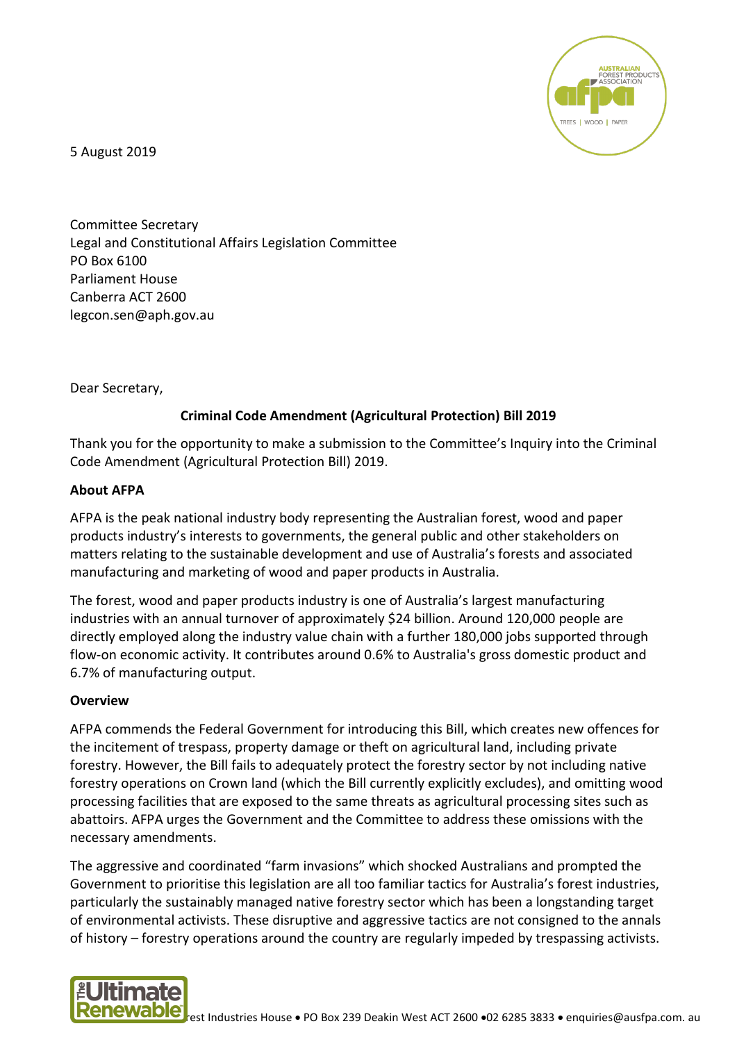

5 August 2019

Committee Secretary Legal and Constitutional Affairs Legislation Committee PO Box 6100 Parliament House Canberra ACT 2600 legcon.sen@aph.gov.au

Dear Secretary,

# **Criminal Code Amendment (Agricultural Protection) Bill 2019**

Thank you for the opportunity to make a submission to the Committee's Inquiry into the Criminal Code Amendment (Agricultural Protection Bill) 2019.

### **About AFPA**

AFPA is the peak national industry body representing the Australian forest, wood and paper products industry's interests to governments, the general public and other stakeholders on matters relating to the sustainable development and use of Australia's forests and associated manufacturing and marketing of wood and paper products in Australia.

The forest, wood and paper products industry is one of Australia's largest manufacturing industries with an annual turnover of approximately \$24 billion. Around 120,000 people are directly employed along the industry value chain with a further 180,000 jobs supported through flow-on economic activity. It contributes around 0.6% to Australia's gross domestic product and 6.7% of manufacturing output.

### **Overview**

AFPA commends the Federal Government for introducing this Bill, which creates new offences for the incitement of trespass, property damage or theft on agricultural land, including private forestry. However, the Bill fails to adequately protect the forestry sector by not including native forestry operations on Crown land (which the Bill currently explicitly excludes), and omitting wood processing facilities that are exposed to the same threats as agricultural processing sites such as abattoirs. AFPA urges the Government and the Committee to address these omissions with the necessary amendments.

The aggressive and coordinated "farm invasions" which shocked Australians and prompted the Government to prioritise this legislation are all too familiar tactics for Australia's forest industries, particularly the sustainably managed native forestry sector which has been a longstanding target of environmental activists. These disruptive and aggressive tactics are not consigned to the annals of history – forestry operations around the country are regularly impeded by trespassing activists.

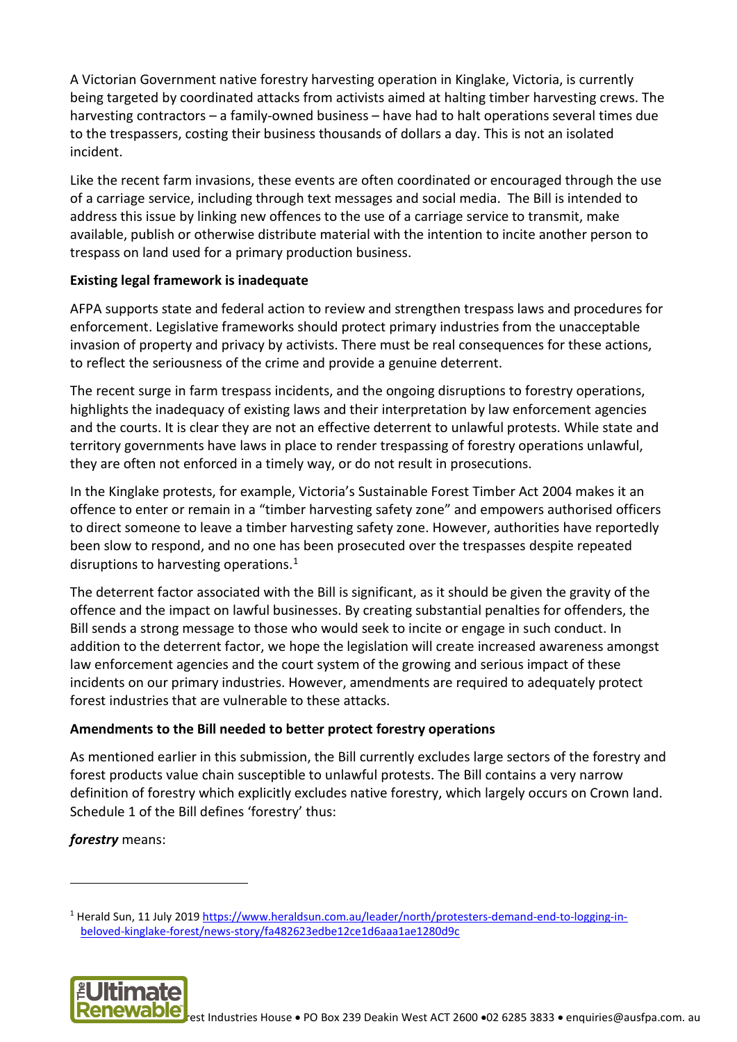A Victorian Government native forestry harvesting operation in Kinglake, Victoria, is currently being targeted by coordinated attacks from activists aimed at halting timber harvesting crews. The harvesting contractors – a family-owned business – have had to halt operations several times due to the trespassers, costing their business thousands of dollars a day. This is not an isolated incident.

Like the recent farm invasions, these events are often coordinated or encouraged through the use of a carriage service, including through text messages and social media. The Bill is intended to address this issue by linking new offences to the use of a carriage service to transmit, make available, publish or otherwise distribute material with the intention to incite another person to trespass on land used for a primary production business.

## **Existing legal framework is inadequate**

AFPA supports state and federal action to review and strengthen trespass laws and procedures for enforcement. Legislative frameworks should protect primary industries from the unacceptable invasion of property and privacy by activists. There must be real consequences for these actions, to reflect the seriousness of the crime and provide a genuine deterrent.

The recent surge in farm trespass incidents, and the ongoing disruptions to forestry operations, highlights the inadequacy of existing laws and their interpretation by law enforcement agencies and the courts. It is clear they are not an effective deterrent to unlawful protests. While state and territory governments have laws in place to render trespassing of forestry operations unlawful, they are often not enforced in a timely way, or do not result in prosecutions.

In the Kinglake protests, for example, Victoria's Sustainable Forest Timber Act 2004 makes it an offence to enter or remain in a "timber harvesting safety zone" and empowers authorised officers to direct someone to leave a timber harvesting safety zone. However, authorities have reportedly been slow to respond, and no one has been prosecuted over the trespasses despite repeated disruptions to harvesting operations.<sup>[1](#page-1-0)</sup>

The deterrent factor associated with the Bill is significant, as it should be given the gravity of the offence and the impact on lawful businesses. By creating substantial penalties for offenders, the Bill sends a strong message to those who would seek to incite or engage in such conduct. In addition to the deterrent factor, we hope the legislation will create increased awareness amongst law enforcement agencies and the court system of the growing and serious impact of these incidents on our primary industries. However, amendments are required to adequately protect forest industries that are vulnerable to these attacks.

### **Amendments to the Bill needed to better protect forestry operations**

As mentioned earlier in this submission, the Bill currently excludes large sectors of the forestry and forest products value chain susceptible to unlawful protests. The Bill contains a very narrow definition of forestry which explicitly excludes native forestry, which largely occurs on Crown land. Schedule 1 of the Bill defines 'forestry' thus:

*forestry* means:

<u>.</u>

<span id="page-1-0"></span><sup>1</sup> Herald Sun, 11 July 2019 [https://www.heraldsun.com.au/leader/north/protesters-demand-end-to-logging-in](https://www.heraldsun.com.au/leader/north/protesters-demand-end-to-logging-in-beloved-kinglake-forest/news-story/fa482623edbe12ce1d6aaa1ae1280d9c)[beloved-kinglake-forest/news-story/fa482623edbe12ce1d6aaa1ae1280d9c](https://www.heraldsun.com.au/leader/north/protesters-demand-end-to-logging-in-beloved-kinglake-forest/news-story/fa482623edbe12ce1d6aaa1ae1280d9c)